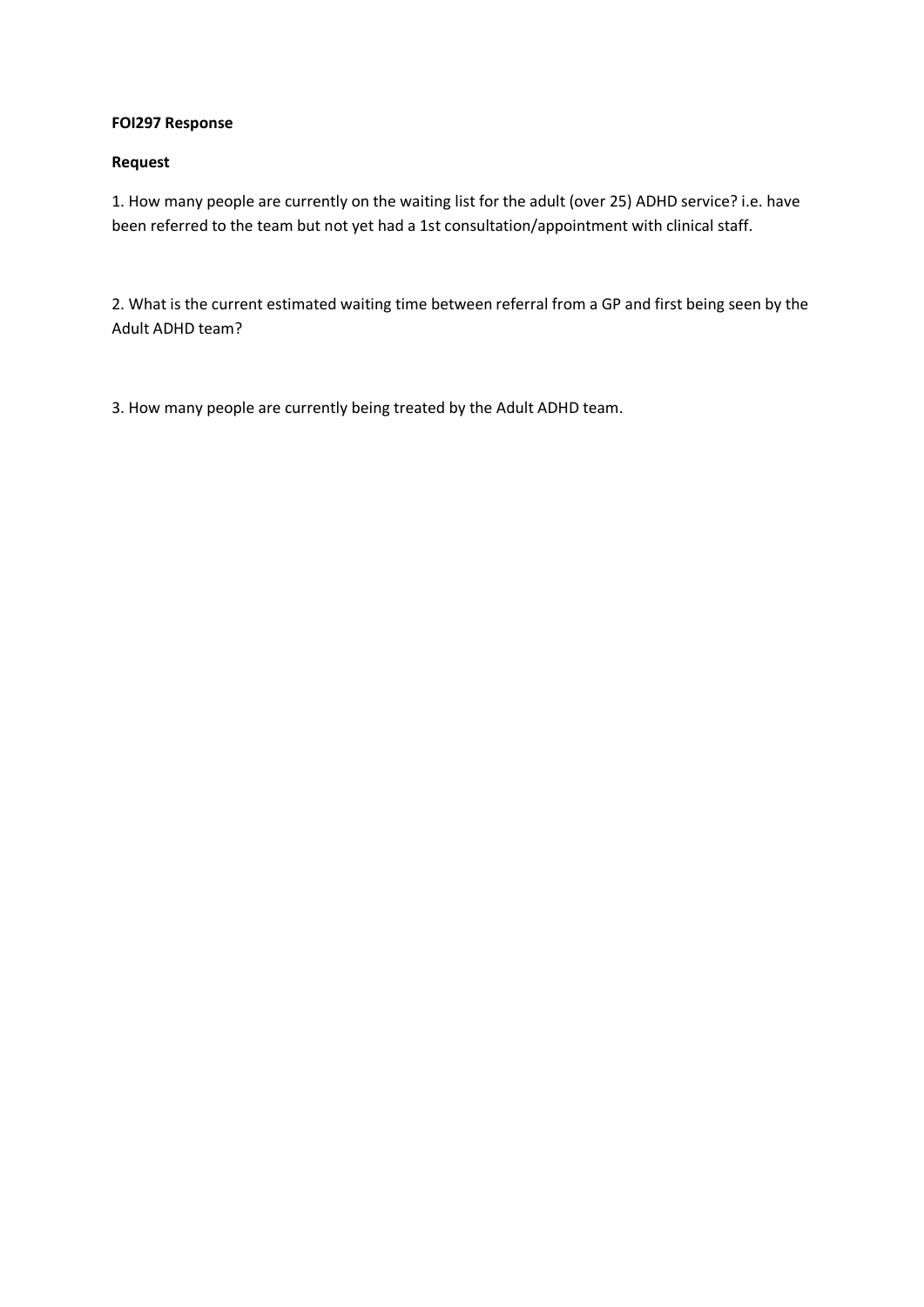#### **FOI297 Response**

#### **Request**

1. How many people are currently on the waiting list for the adult (over 25) ADHD service? i.e. have been referred to the team but not yet had a 1st consultation/appointment with clinical staff.

2. What is the current estimated waiting time between referral from a GP and first being seen by the Adult ADHD team?

3. How many people are currently being treated by the Adult ADHD team.